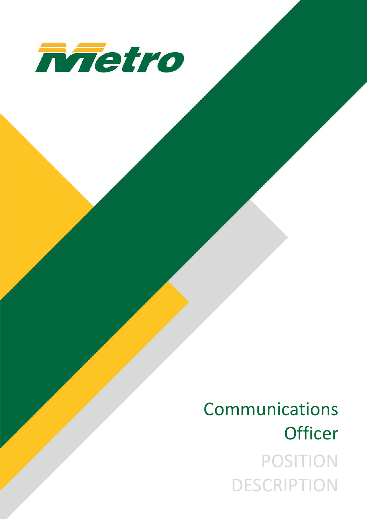

# Communications **Officer** POSITION **DESCRIPTION**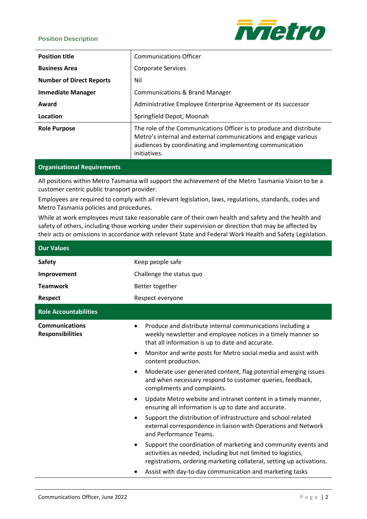## **Position Description**



| <b>Position title</b>           | <b>Communications Officer</b>                                                                                                                                                                                      |  |
|---------------------------------|--------------------------------------------------------------------------------------------------------------------------------------------------------------------------------------------------------------------|--|
| <b>Business Area</b>            | Corporate Services                                                                                                                                                                                                 |  |
| <b>Number of Direct Reports</b> | Nil                                                                                                                                                                                                                |  |
| <b>Immediate Manager</b>        | <b>Communications &amp; Brand Manager</b>                                                                                                                                                                          |  |
| Award                           | Administrative Employee Enterprise Agreement or its successor                                                                                                                                                      |  |
| Location                        | Springfield Depot, Moonah                                                                                                                                                                                          |  |
| <b>Role Purpose</b>             | The role of the Communications Officer is to produce and distribute<br>Metro's internal and external communications and engage various<br>audiences by coordinating and implementing communication<br>initiatives. |  |

# **Organisational Requirements**

All positions within Metro Tasmania will support the achievement of the Metro Tasmania Vision to be a customer centric public transport provider.

Employees are required to comply with all relevant legislation, laws, regulations, standards, codes and Metro Tasmania policies and procedures.

While at work employees must take reasonable care of their own health and safety and the health and safety of others, including those working under their supervision or direction that may be affected by their acts or omissions in accordance with relevant State and Federal Work Health and Safety Legislation.

| <b>Our Values</b>                                |                                                                                                                                                                                                               |  |
|--------------------------------------------------|---------------------------------------------------------------------------------------------------------------------------------------------------------------------------------------------------------------|--|
| <b>Safety</b>                                    | Keep people safe                                                                                                                                                                                              |  |
| Improvement                                      | Challenge the status quo                                                                                                                                                                                      |  |
| <b>Teamwork</b>                                  | Better together                                                                                                                                                                                               |  |
| <b>Respect</b>                                   | Respect everyone                                                                                                                                                                                              |  |
| <b>Role Accountabilities</b>                     |                                                                                                                                                                                                               |  |
| <b>Communications</b><br><b>Responsibilities</b> | Produce and distribute internal communications including a<br>$\bullet$<br>weekly newsletter and employee notices in a timely manner so<br>that all information is up to date and accurate.                   |  |
|                                                  | Monitor and write posts for Metro social media and assist with<br>$\bullet$<br>content production.                                                                                                            |  |
|                                                  | Moderate user generated content, flag potential emerging issues<br>$\bullet$<br>and when necessary respond to customer queries, feedback,<br>compliments and complaints.                                      |  |
|                                                  | Update Metro website and intranet content in a timely manner,<br>$\bullet$<br>ensuring all information is up to date and accurate.                                                                            |  |
|                                                  | Support the distribution of infrastructure and school related<br>$\bullet$<br>external correspondence in liaison with Operations and Network<br>and Performance Teams.                                        |  |
|                                                  | Support the coordination of marketing and community events and<br>٠<br>activities as needed, including but not limited to logistics,<br>registrations, ordering marketing collateral, setting up activations. |  |
|                                                  | Assist with day-to-day communication and marketing tasks                                                                                                                                                      |  |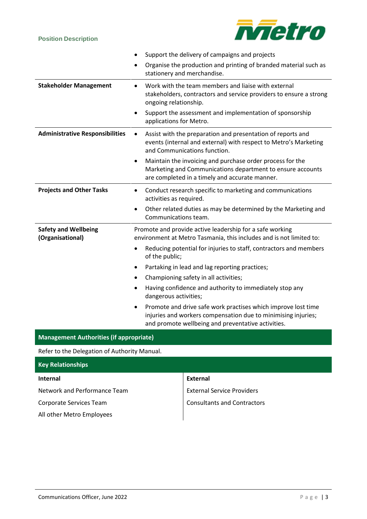# **Position Description**



|                                                 | Support the delivery of campaigns and projects                                                                                                                                                    |  |  |
|-------------------------------------------------|---------------------------------------------------------------------------------------------------------------------------------------------------------------------------------------------------|--|--|
|                                                 | Organise the production and printing of branded material such as<br>stationery and merchandise.                                                                                                   |  |  |
| <b>Stakeholder Management</b>                   | Work with the team members and liaise with external<br>$\bullet$<br>stakeholders, contractors and service providers to ensure a strong<br>ongoing relationship.                                   |  |  |
|                                                 | Support the assessment and implementation of sponsorship<br>$\bullet$<br>applications for Metro.                                                                                                  |  |  |
| <b>Administrative Responsibilities</b>          | Assist with the preparation and presentation of reports and<br>$\bullet$<br>events (internal and external) with respect to Metro's Marketing<br>and Communications function.                      |  |  |
|                                                 | Maintain the invoicing and purchase order process for the<br>$\bullet$<br>Marketing and Communications department to ensure accounts<br>are completed in a timely and accurate manner.            |  |  |
| <b>Projects and Other Tasks</b>                 | Conduct research specific to marketing and communications<br>$\bullet$<br>activities as required.                                                                                                 |  |  |
|                                                 | Other related duties as may be determined by the Marketing and<br>٠<br>Communications team.                                                                                                       |  |  |
| <b>Safety and Wellbeing</b><br>(Organisational) | Promote and provide active leadership for a safe working<br>environment at Metro Tasmania, this includes and is not limited to:                                                                   |  |  |
|                                                 | Reducing potential for injuries to staff, contractors and members<br>$\bullet$<br>of the public;                                                                                                  |  |  |
|                                                 | Partaking in lead and lag reporting practices;<br>$\bullet$                                                                                                                                       |  |  |
|                                                 | Championing safety in all activities;<br>$\bullet$                                                                                                                                                |  |  |
|                                                 | Having confidence and authority to immediately stop any<br>$\bullet$<br>dangerous activities;                                                                                                     |  |  |
|                                                 | Promote and drive safe work practises which improve lost time<br>$\bullet$<br>injuries and workers compensation due to minimising injuries;<br>and promote wellbeing and preventative activities. |  |  |
| <b>Management Authorities (if appropriate)</b>  |                                                                                                                                                                                                   |  |  |
| Refer to the Delegation of Authority Manual.    |                                                                                                                                                                                                   |  |  |
| <b>Key Relationships</b>                        |                                                                                                                                                                                                   |  |  |

| <b>Internal</b>              | External                           |
|------------------------------|------------------------------------|
| Network and Performance Team | <b>External Service Providers</b>  |
| Corporate Services Team      | <b>Consultants and Contractors</b> |
| All other Metro Employees    |                                    |
|                              |                                    |